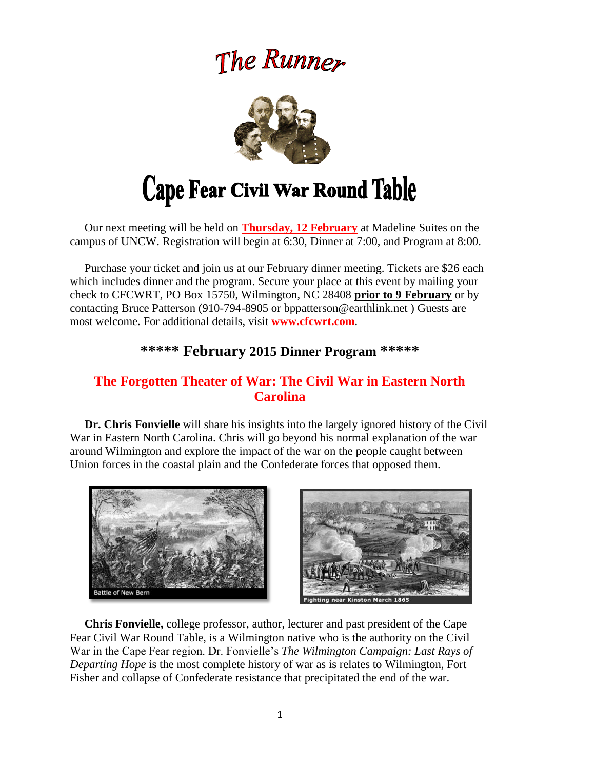# The Runner



# Cape Fear Civil War Round Table

 Our next meeting will be held on **Thursday, 12 February** at Madeline Suites on the campus of UNCW. Registration will begin at 6:30, Dinner at 7:00, and Program at 8:00.

 Purchase your ticket and join us at our February dinner meeting. Tickets are \$26 each which includes dinner and the program. Secure your place at this event by mailing your check to CFCWRT, PO Box 15750, Wilmington, NC 28408 **prior to 9 February** or by contacting Bruce Patterson (910-794-8905 or bppatterson@earthlink.net ) Guests are most welcome. For additional details, visit **www.cfcwrt.com**.

# **\*\*\*\*\* February 2015 Dinner Program \*\*\*\*\***

## **The Forgotten Theater of War: The Civil War in Eastern North Carolina**

 **Dr. Chris Fonvielle** will share his insights into the largely ignored history of the Civil War in Eastern North Carolina. Chris will go beyond his normal explanation of the war around Wilmington and explore the impact of the war on the people caught between Union forces in the coastal plain and the Confederate forces that opposed them.





 **Chris Fonvielle,** college professor, author, lecturer and past president of the Cape Fear Civil War Round Table, is a Wilmington native who is the authority on the Civil War in the Cape Fear region. Dr. Fonvielle's *The Wilmington Campaign: Last Rays of Departing Hope* is the most complete history of war as is relates to Wilmington, Fort Fisher and collapse of Confederate resistance that precipitated the end of the war.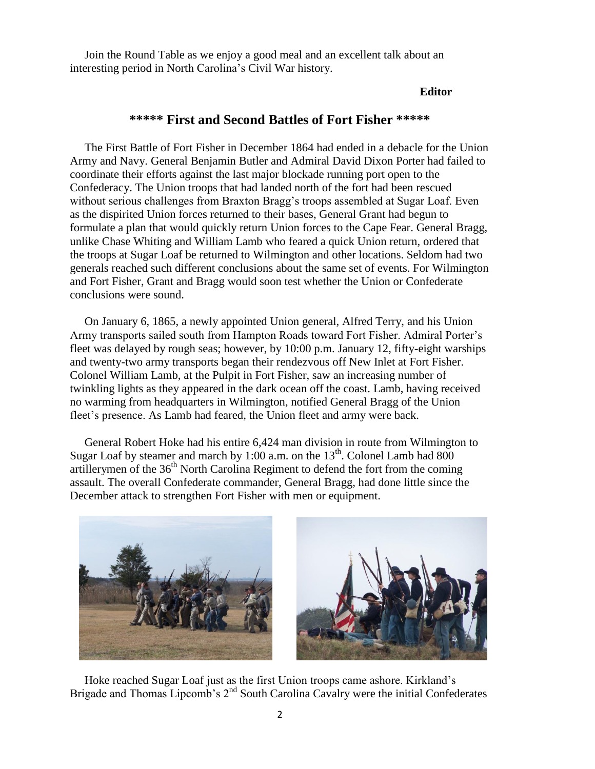Join the Round Table as we enjoy a good meal and an excellent talk about an interesting period in North Carolina's Civil War history.

#### **Editor**

#### **\*\*\*\*\* First and Second Battles of Fort Fisher \*\*\*\*\***

The First Battle of Fort Fisher in December 1864 had ended in a debacle for the Union Army and Navy. General Benjamin Butler and Admiral David Dixon Porter had failed to coordinate their efforts against the last major blockade running port open to the Confederacy. The Union troops that had landed north of the fort had been rescued without serious challenges from Braxton Bragg's troops assembled at Sugar Loaf. Even as the dispirited Union forces returned to their bases, General Grant had begun to formulate a plan that would quickly return Union forces to the Cape Fear. General Bragg, unlike Chase Whiting and William Lamb who feared a quick Union return, ordered that the troops at Sugar Loaf be returned to Wilmington and other locations. Seldom had two generals reached such different conclusions about the same set of events. For Wilmington and Fort Fisher, Grant and Bragg would soon test whether the Union or Confederate conclusions were sound.

 On January 6, 1865, a newly appointed Union general, Alfred Terry, and his Union Army transports sailed south from Hampton Roads toward Fort Fisher. Admiral Porter's fleet was delayed by rough seas; however, by 10:00 p.m. January 12, fifty-eight warships and twenty-two army transports began their rendezvous off New Inlet at Fort Fisher. Colonel William Lamb, at the Pulpit in Fort Fisher, saw an increasing number of twinkling lights as they appeared in the dark ocean off the coast. Lamb, having received no warming from headquarters in Wilmington, notified General Bragg of the Union fleet's presence. As Lamb had feared, the Union fleet and army were back.

 General Robert Hoke had his entire 6,424 man division in route from Wilmington to Sugar Loaf by steamer and march by 1:00 a.m. on the  $13<sup>th</sup>$ . Colonel Lamb had 800 artillerymen of the  $36<sup>th</sup>$  North Carolina Regiment to defend the fort from the coming assault. The overall Confederate commander, General Bragg, had done little since the December attack to strengthen Fort Fisher with men or equipment.



 Hoke reached Sugar Loaf just as the first Union troops came ashore. Kirkland's Brigade and Thomas Lipcomb's 2<sup>nd</sup> South Carolina Cavalry were the initial Confederates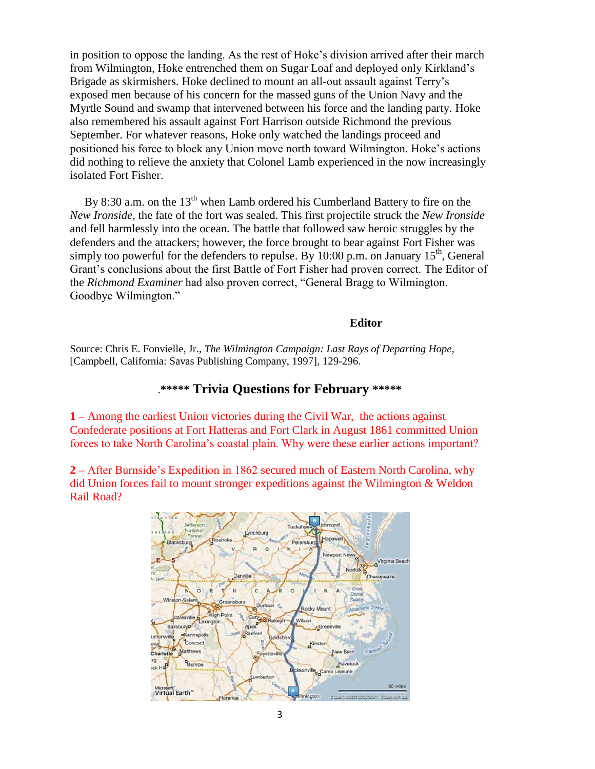in position to oppose the landing. As the rest of Hoke's division arrived after their march from Wilmington, Hoke entrenched them on Sugar Loaf and deployed only Kirkland's Brigade as skirmishers. Hoke declined to mount an all-out assault against Terry's exposed men because of his concern for the massed guns of the Union Navy and the Myrtle Sound and swamp that intervened between his force and the landing party. Hoke also remembered his assault against Fort Harrison outside Richmond the previous September. For whatever reasons, Hoke only watched the landings proceed and positioned his force to block any Union move north toward Wilmington. Hoke's actions did nothing to relieve the anxiety that Colonel Lamb experienced in the now increasingly isolated Fort Fisher.

By 8:30 a.m. on the  $13<sup>th</sup>$  when Lamb ordered his Cumberland Battery to fire on the *New Ironside,* the fate of the fort was sealed. This first projectile struck the *New Ironside*  and fell harmlessly into the ocean. The battle that followed saw heroic struggles by the defenders and the attackers; however, the force brought to bear against Fort Fisher was simply too powerful for the defenders to repulse. By 10:00 p.m. on January  $15<sup>th</sup>$ , General Grant's conclusions about the first Battle of Fort Fisher had proven correct. The Editor of the *Richmond Examiner* had also proven correct, "General Bragg to Wilmington. Goodbye Wilmington."

#### **Editor**

Source: Chris E. Fonvielle, Jr., *The Wilmington Campaign: Last Rays of Departing Hope,*  [Campbell, California: Savas Publishing Company, 1997], 129-296.

#### .**\*\*\*\*\* Trivia Questions for February \*\*\*\*\***

**1 –** Among the earliest Union victories during the Civil War, the actions against Confederate positions at Fort Hatteras and Fort Clark in August 1861 committed Union forces to take North Carolina's coastal plain. Why were these earlier actions important?

**2 –** After Burnside's Expedition in 1862 secured much of Eastern North Carolina, why did Union forces fail to mount stronger expeditions against the Wilmington & Weldon Rail Road?

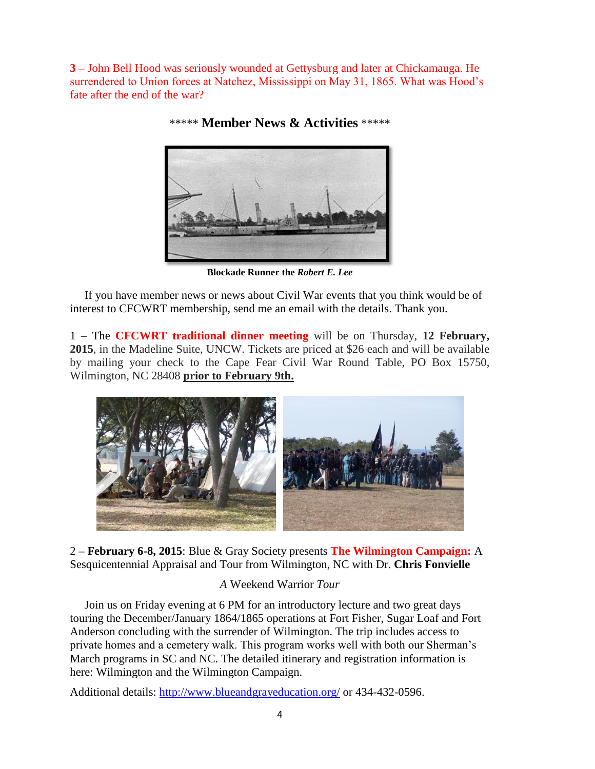**3 –** John Bell Hood was seriously wounded at Gettysburg and later at Chickamauga. He surrendered to Union forces at Natchez, Mississippi on May 31, 1865. What was Hood's fate after the end of the war?



\*\*\*\*\* **Member News & Activities** \*\*\*\*\*

**Blockade Runner the** *Robert E. Lee*

 If you have member news or news about Civil War events that you think would be of interest to CFCWRT membership, send me an email with the details. Thank you.

1 – The **CFCWRT traditional dinner meeting** will be on Thursday, **12 February, 2015**, in the Madeline Suite, UNCW. Tickets are priced at \$26 each and will be available by mailing your check to the Cape Fear Civil War Round Table, PO Box 15750, Wilmington, NC 28408 **prior to February 9th.**



2 **– February 6-8, 2015**: Blue & Gray Society presents **The Wilmington Campaign:** A Sesquicentennial Appraisal and Tour from Wilmington, NC with Dr. **Chris Fonvielle**

## *A* Weekend Warrior *Tour*

 Join us on Friday evening at 6 PM for an introductory lecture and two great days touring the December/January 1864/1865 operations at Fort Fisher, Sugar Loaf and Fort Anderson concluding with the surrender of Wilmington. The trip includes access to private homes and a cemetery walk. This program works well with both our Sherman's March programs in SC and NC. The detailed itinerary and registration information is here: Wilmington and the [Wilmington](http://www.blueandgrayeducation.org/civil-war-tours/the-wilmington-campaign-a-sesquicentennial-appraisal-and-tour/) Campaign.

Additional details:<http://www.blueandgrayeducation.org/> or 434-432-0596.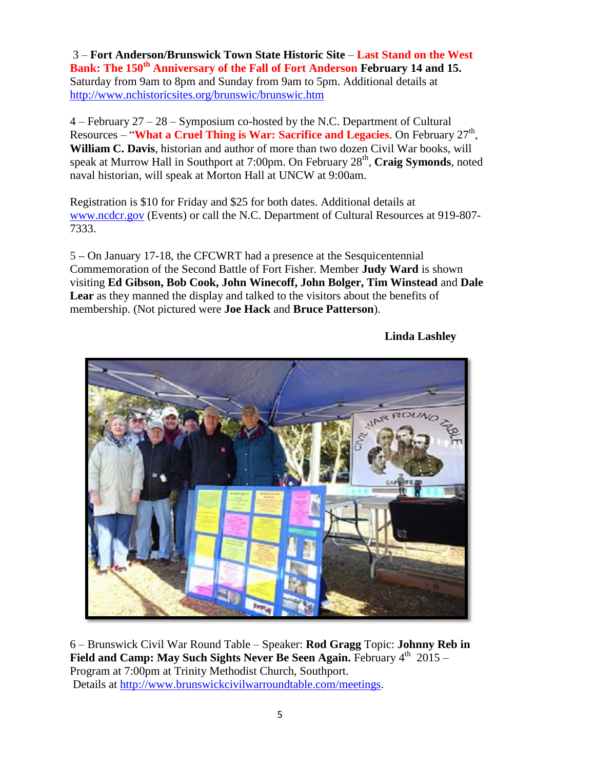3 – **Fort Anderson/Brunswick Town State Historic Site** – **Last Stand on the West Bank: The 150th Anniversary of the Fall of Fort Anderson February 14 and 15.** Saturday from 9am to 8pm and Sunday from 9am to 5pm. Additional details at <http://www.nchistoricsites.org/brunswic/brunswic.htm>

4 – February 27 – 28 – Symposium co-hosted by the N.C. Department of Cultural Resources – "**What a Cruel Thing is War: Sacrifice and Legacies**. On February 27<sup>th</sup>, **William C. Davis**, historian and author of more than two dozen Civil War books, will speak at Murrow Hall in Southport at 7:00pm. On February 28<sup>th</sup>, Craig Symonds, noted naval historian, will speak at Morton Hall at UNCW at 9:00am.

Registration is \$10 for Friday and \$25 for both dates. Additional details at [www.ncdcr.gov](http://www.ncdcr.gov/) (Events) or call the N.C. Department of Cultural Resources at 919-807-7333.

5 **–** On January 17-18, the CFCWRT had a presence at the Sesquicentennial Commemoration of the Second Battle of Fort Fisher. Member **Judy Ward** is shown visiting **Ed Gibson, Bob Cook, John Winecoff, John Bolger, Tim Winstead** and **Dale Lear** as they manned the display and talked to the visitors about the benefits of membership. (Not pictured were **Joe Hack** and **Bruce Patterson**).



**Linda Lashley**

6 – Brunswick Civil War Round Table – Speaker: **Rod Gragg** Topic: **Johnny Reb in Field and Camp: May Such Sights Never Be Seen Again.** February 4<sup>th</sup> 2015 – Program at 7:00pm at Trinity Methodist Church, Southport. Details at [http://www.brunswickcivilwarroundtable.com/meetings.](http://www.brunswickcivilwarroundtable.com/meetings)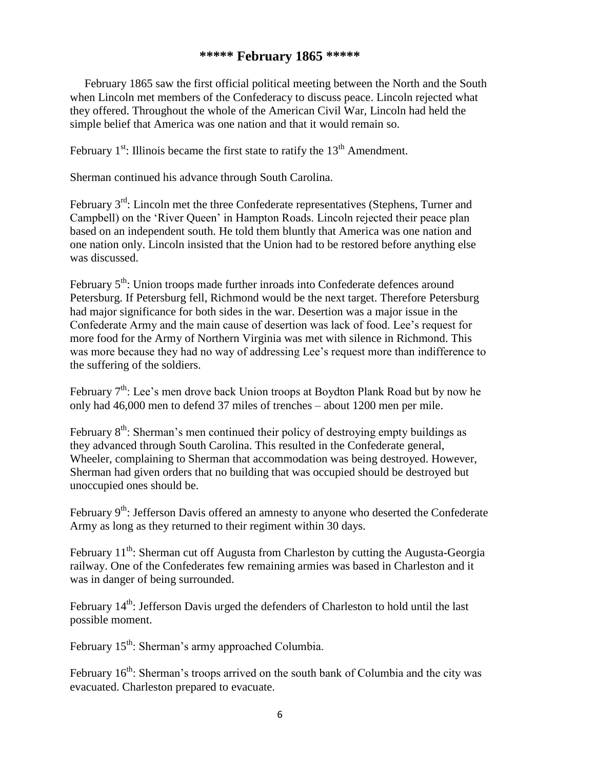### **\*\*\*\*\* February 1865 \*\*\*\*\***

 February 1865 saw the first official political meeting between the North and the South when Lincoln met members of the Confederacy to discuss peace. Lincoln rejected what they offered. Throughout the whole of the American Civil War, Lincoln had held the simple belief that America was one nation and that it would remain so.

February  $1^{st}$ : Illinois became the first state to ratify the  $13^{th}$  Amendment.

Sherman continued his advance through South Carolina.

February 3<sup>rd</sup>: Lincoln met the three Confederate representatives (Stephens, Turner and Campbell) on the 'River Queen' in Hampton Roads. Lincoln rejected their peace plan based on an independent south. He told them bluntly that America was one nation and one nation only. Lincoln insisted that the Union had to be restored before anything else was discussed.

February 5<sup>th</sup>: Union troops made further inroads into Confederate defences around Petersburg. If Petersburg fell, Richmond would be the next target. Therefore Petersburg had major significance for both sides in the war. Desertion was a major issue in the Confederate Army and the main cause of desertion was lack of food. Lee's request for more food for the Army of Northern Virginia was met with silence in Richmond. This was more because they had no way of addressing Lee's request more than indifference to the suffering of the soldiers.

February  $7<sup>th</sup>$ : Lee's men drove back Union troops at Boydton Plank Road but by now he only had 46,000 men to defend 37 miles of trenches – about 1200 men per mile.

February  $8<sup>th</sup>$ : Sherman's men continued their policy of destroying empty buildings as they advanced through South Carolina. This resulted in the Confederate general, Wheeler, complaining to Sherman that accommodation was being destroyed. However, Sherman had given orders that no building that was occupied should be destroyed but unoccupied ones should be.

February  $9<sup>th</sup>$ : Jefferson Davis offered an amnesty to anyone who deserted the Confederate Army as long as they returned to their regiment within 30 days.

February  $11^{th}$ : Sherman cut off Augusta from Charleston by cutting the Augusta-Georgia railway. One of the Confederates few remaining armies was based in Charleston and it was in danger of being surrounded.

February  $14<sup>th</sup>$ : Jefferson Davis urged the defenders of Charleston to hold until the last possible moment.

February 15<sup>th</sup>: Sherman's army approached Columbia.

February  $16<sup>th</sup>$ : Sherman's troops arrived on the south bank of Columbia and the city was evacuated. Charleston prepared to evacuate.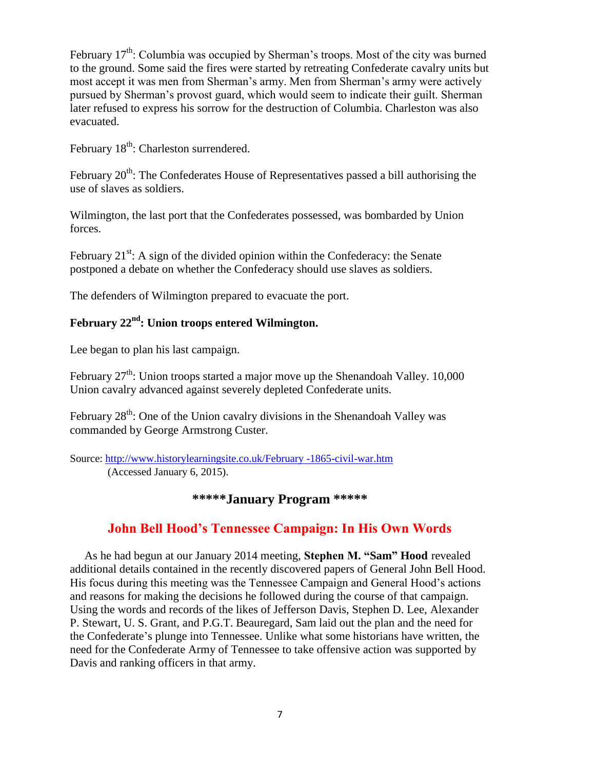February  $17<sup>th</sup>$ : Columbia was occupied by Sherman's troops. Most of the city was burned to the ground. Some said the fires were started by retreating Confederate cavalry units but most accept it was men from Sherman's army. Men from Sherman's army were actively pursued by Sherman's provost guard, which would seem to indicate their guilt. Sherman later refused to express his sorrow for the destruction of Columbia. Charleston was also evacuated.

February 18<sup>th</sup>: Charleston surrendered.

February  $20<sup>th</sup>$ : The Confederates House of Representatives passed a bill authorising the use of slaves as soldiers.

Wilmington, the last port that the Confederates possessed, was bombarded by Union forces.

February  $21^{st}$ : A sign of the divided opinion within the Confederacy: the Senate postponed a debate on whether the Confederacy should use slaves as soldiers.

The defenders of Wilmington prepared to evacuate the port.

# **February 22nd: Union troops entered Wilmington.**

Lee began to plan his last campaign.

February  $27<sup>th</sup>$ : Union troops started a major move up the Shenandoah Valley. 10,000 Union cavalry advanced against severely depleted Confederate units.

February  $28^{th}$ : One of the Union cavalry divisions in the Shenandoah Valley was commanded by George Armstrong Custer.

Source: [http://www.historylearningsite.co.uk/February -1865-civil-war.htm](http://www.historylearningsite.co.uk/February%20-1865-civil-war.htm) (Accessed January 6, 2015).

# **\*\*\*\*\*January Program \*\*\*\*\***

## **John Bell Hood's Tennessee Campaign: In His Own Words**

 As he had begun at our January 2014 meeting, **Stephen M. "Sam" Hood** revealed additional details contained in the recently discovered papers of General John Bell Hood. His focus during this meeting was the Tennessee Campaign and General Hood's actions and reasons for making the decisions he followed during the course of that campaign. Using the words and records of the likes of Jefferson Davis, Stephen D. Lee, Alexander P. Stewart, U. S. Grant, and P.G.T. Beauregard, Sam laid out the plan and the need for the Confederate's plunge into Tennessee. Unlike what some historians have written, the need for the Confederate Army of Tennessee to take offensive action was supported by Davis and ranking officers in that army.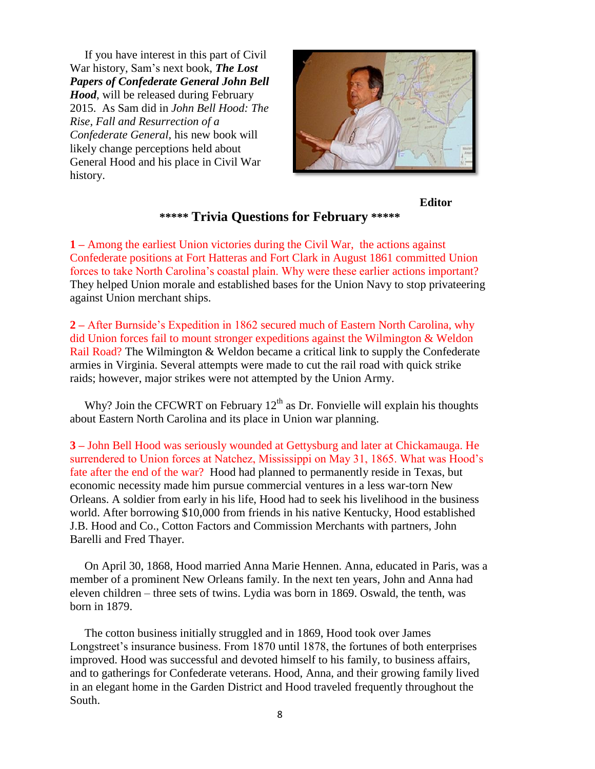If you have interest in this part of Civil War history, Sam's next book, *The Lost Papers of Confederate General John Bell Hood*, will be released during February 2015. As Sam did in *John Bell Hood: The Rise, Fall and Resurrection of a Confederate General*, his new book will likely change perceptions held about General Hood and his place in Civil War history.



## **Editor**

#### **\*\*\*\*\* Trivia Questions for February \*\*\*\*\***

**1 –** Among the earliest Union victories during the Civil War, the actions against Confederate positions at Fort Hatteras and Fort Clark in August 1861 committed Union forces to take North Carolina's coastal plain. Why were these earlier actions important? They helped Union morale and established bases for the Union Navy to stop privateering against Union merchant ships.

**2 –** After Burnside's Expedition in 1862 secured much of Eastern North Carolina, why did Union forces fail to mount stronger expeditions against the Wilmington & Weldon Rail Road? The Wilmington & Weldon became a critical link to supply the Confederate armies in Virginia. Several attempts were made to cut the rail road with quick strike raids; however, major strikes were not attempted by the Union Army.

Why? Join the CFCWRT on February  $12<sup>th</sup>$  as Dr. Fonvielle will explain his thoughts about Eastern North Carolina and its place in Union war planning.

**3 –** John Bell Hood was seriously wounded at Gettysburg and later at Chickamauga. He surrendered to Union forces at Natchez, Mississippi on May 31, 1865. What was Hood's fate after the end of the war? Hood had planned to permanently reside in Texas, but economic necessity made him pursue commercial ventures in a less war-torn New Orleans. A soldier from early in his life, Hood had to seek his livelihood in the business world. After borrowing \$10,000 from friends in his native Kentucky, Hood established J.B. Hood and Co., Cotton Factors and Commission Merchants with partners, John Barelli and Fred Thayer.

 On April 30, 1868, Hood married Anna Marie Hennen. Anna, educated in Paris, was a member of a prominent New Orleans family. In the next ten years, John and Anna had eleven children – three sets of twins. Lydia was born in 1869. Oswald, the tenth, was born in 1879.

 The cotton business initially struggled and in 1869, Hood took over James Longstreet's insurance business. From 1870 until 1878, the fortunes of both enterprises improved. Hood was successful and devoted himself to his family, to business affairs, and to gatherings for Confederate veterans. Hood, Anna, and their growing family lived in an elegant home in the Garden District and Hood traveled frequently throughout the South.